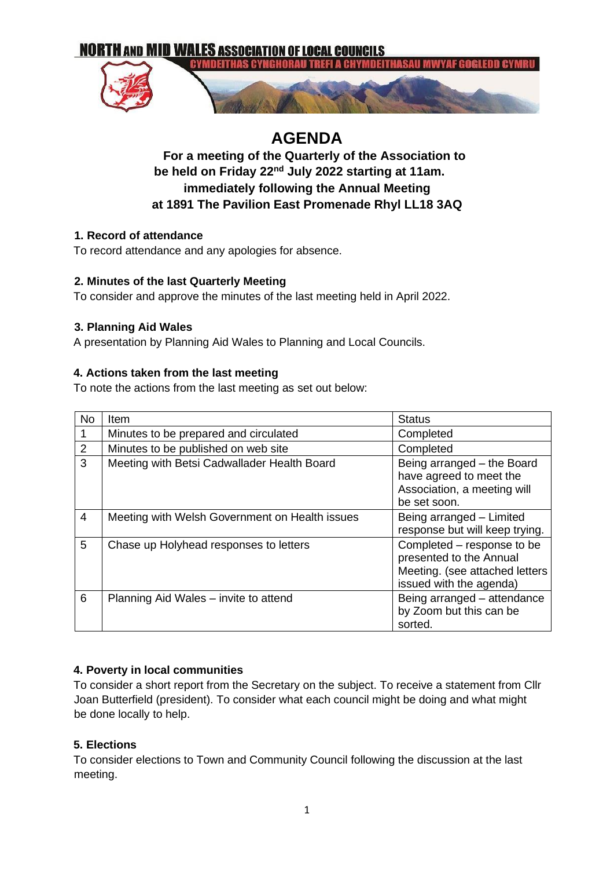

# **AGENDA**

# **For a meeting of the Quarterly of the Association to be held on Friday 22nd July 2022 starting at 11am. immediately following the Annual Meeting at 1891 The Pavilion East Promenade Rhyl LL18 3AQ**

#### **1. Record of attendance**

To record attendance and any apologies for absence.

## **2. Minutes of the last Quarterly Meeting**

To consider and approve the minutes of the last meeting held in April 2022.

#### **3. Planning Aid Wales**

A presentation by Planning Aid Wales to Planning and Local Councils.

## **4. Actions taken from the last meeting**

To note the actions from the last meeting as set out below:

| <b>No</b> | Item                                           | <b>Status</b>                                                                                                      |
|-----------|------------------------------------------------|--------------------------------------------------------------------------------------------------------------------|
| 1         | Minutes to be prepared and circulated          | Completed                                                                                                          |
| 2         | Minutes to be published on web site            | Completed                                                                                                          |
| 3         | Meeting with Betsi Cadwallader Health Board    | Being arranged - the Board<br>have agreed to meet the<br>Association, a meeting will<br>be set soon.               |
| 4         | Meeting with Welsh Government on Health issues | Being arranged - Limited<br>response but will keep trying.                                                         |
| 5         | Chase up Holyhead responses to letters         | Completed – response to be<br>presented to the Annual<br>Meeting. (see attached letters<br>issued with the agenda) |
| 6         | Planning Aid Wales – invite to attend          | Being arranged - attendance<br>by Zoom but this can be<br>sorted.                                                  |

## **4. Poverty in local communities**

To consider a short report from the Secretary on the subject. To receive a statement from Cllr Joan Butterfield (president). To consider what each council might be doing and what might be done locally to help.

## **5. Elections**

To consider elections to Town and Community Council following the discussion at the last meeting.